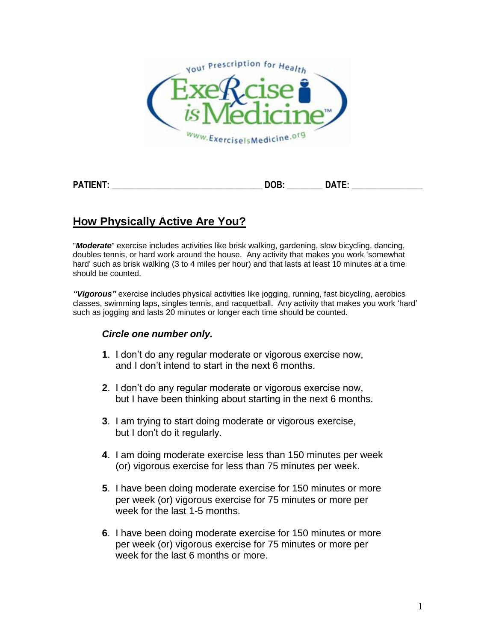

| ----<br>PΔ | --<br>-- | . |
|------------|----------|---|
|            | ___      |   |

## **How Physically Active Are You?**

"*Moderate*" exercise includes activities like brisk walking, gardening, slow bicycling, dancing, doubles tennis, or hard work around the house. Any activity that makes you work 'somewhat hard' such as brisk walking (3 to 4 miles per hour) and that lasts at least 10 minutes at a time should be counted.

*"Vigorous"* exercise includes physical activities like jogging, running, fast bicycling, aerobics classes, swimming laps, singles tennis, and racquetball. Any activity that makes you work 'hard' such as jogging and lasts 20 minutes or longer each time should be counted.

## *Circle one number only.*

- **1**. I don't do any regular moderate or vigorous exercise now, and I don't intend to start in the next 6 months.
- **2**. I don't do any regular moderate or vigorous exercise now, but I have been thinking about starting in the next 6 months.
- **3**. I am trying to start doing moderate or vigorous exercise, but I don't do it regularly.
- **4**. I am doing moderate exercise less than 150 minutes per week (or) vigorous exercise for less than 75 minutes per week.
- **5**. I have been doing moderate exercise for 150 minutes or more per week (or) vigorous exercise for 75 minutes or more per week for the last 1-5 months.
- **6**. I have been doing moderate exercise for 150 minutes or more per week (or) vigorous exercise for 75 minutes or more per week for the last 6 months or more.